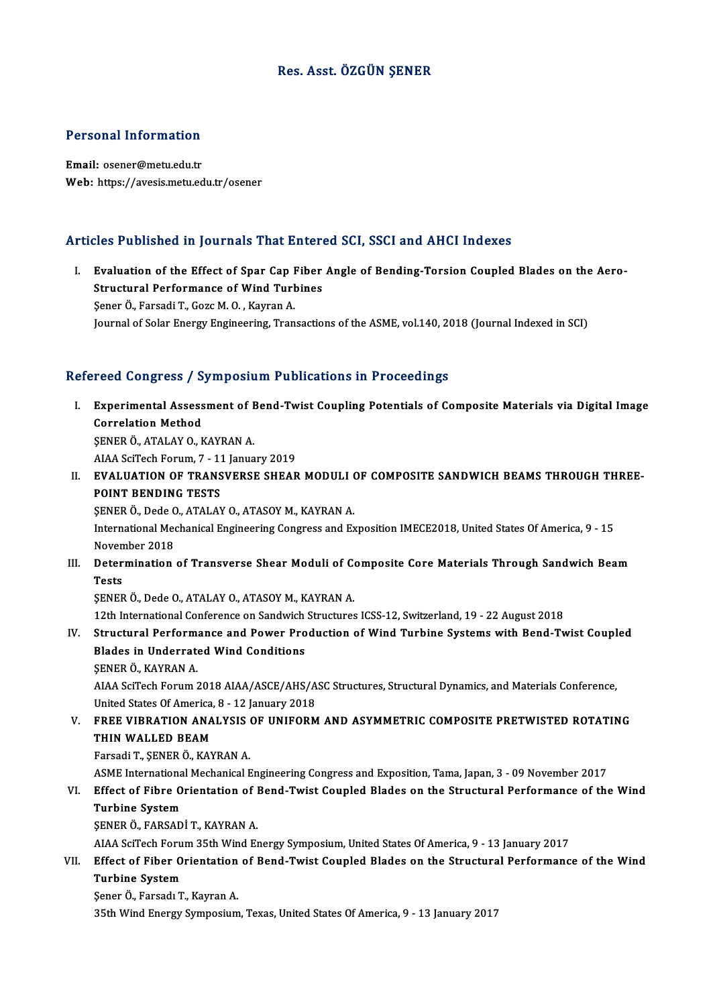## Res. Asst. ÖZGÜN ŞENER

# Personal Information

Personal Information<br>Email: osener@metu.edu.tr<br>Web: https://avesis.metu.ed Email: osener@metu.edu.tr<br>Web: https://avesis.metu.edu.tr/osener

### Articles Published in Journals That Entered SCI, SSCI and AHCI Indexes

rticles Published in Journals That Entered SCI, SSCI and AHCI Indexes<br>I. Evaluation of the Effect of Spar Cap Fiber Angle of Bending-Torsion Coupled Blades on the Aero-<br>Structural Performance of Wind Turbines Structural of the Effect of Spar Cap Fiber<br>Structural Performance of Wind Turbines<br>Sener Ö. Fersedi T. Cers M.O. Kauran A Evaluation of the Effect of Spar Cap I<br>Structural Performance of Wind Turk<br>Sener Ö., Farsadi T., Gozc M. O. , Kayran A.<br>Journal of Solar Fnergy Engineering Tran Structural Performance of Wind Turbines<br>Sener Ö., Farsadi T., Gozc M. O. , Kayran A.<br>Journal of Solar Energy Engineering, Transactions of the ASME, vol.140, 2018 (Journal Indexed in SCI)

# Journal of Solar Energy Engineering, Transactions of the ASME, Vol.140, 20<br>Refereed Congress / Symposium Publications in Proceedings

|      | Refereed Congress / Symposium Publications in Proceedings                                                |
|------|----------------------------------------------------------------------------------------------------------|
| L    | Experimental Assessment of Bend-Twist Coupling Potentials of Composite Materials via Digital Image       |
|      | <b>Correlation Method</b>                                                                                |
|      | ŞENER Ö., ATALAY O., KAYRAN A.                                                                           |
|      | AIAA SciTech Forum, 7 - 11 January 2019                                                                  |
| Н.   | EVALUATION OF TRANSVERSE SHEAR MODULI OF COMPOSITE SANDWICH BEAMS THROUGH THREE-                         |
|      | POINT BENDING TESTS                                                                                      |
|      | ŞENER Ö., Dede O., ATALAY O., ATASOY M., KAYRAN A.                                                       |
|      | International Mechanical Engineering Congress and Exposition IMECE2018, United States Of America, 9 - 15 |
|      | November 2018                                                                                            |
| III. | Determination of Transverse Shear Moduli of Composite Core Materials Through Sandwich Beam               |
|      | <b>Tests</b>                                                                                             |
|      | ŞENER Ö., Dede O., ATALAY O., ATASOY M., KAYRAN A.                                                       |
|      | 12th International Conference on Sandwich Structures ICSS-12, Switzerland, 19 - 22 August 2018           |
| IV.  | Structural Performance and Power Production of Wind Turbine Systems with Bend-Twist Coupled              |
|      | <b>Blades in Underrated Wind Conditions</b>                                                              |
|      | ŞENER Ö, KAYRAN A                                                                                        |
|      | AIAA SciTech Forum 2018 AIAA/ASCE/AHS/ASC Structures, Structural Dynamics, and Materials Conference,     |
|      | United States Of America, 8 - 12 January 2018                                                            |
| V.   | FREE VIBRATION ANALYSIS OF UNIFORM AND ASYMMETRIC COMPOSITE PRETWISTED ROTATING                          |
|      | THIN WALLED BEAM                                                                                         |
|      | Farsadi T., ŞENER Ö., KAYRAN A.                                                                          |
|      | ASME International Mechanical Engineering Congress and Exposition, Tama, Japan, 3 - 09 November 2017     |
| VI.  | Effect of Fibre Orientation of Bend-Twist Coupled Blades on the Structural Performance of the Wind       |
|      | <b>Turbine System</b>                                                                                    |
|      | ŞENER Ö., FARSADİ T., KAYRAN A.                                                                          |
|      | AIAA SciTech Forum 35th Wind Energy Symposium, United States Of America, 9 - 13 January 2017             |
| VII. | Effect of Fiber Orientation of Bend-Twist Coupled Blades on the Structural Performance of the Wind       |
|      | <b>Turbine System</b>                                                                                    |
|      | Şener Ö., Farsadı T., Kayran A.                                                                          |
|      | 35th Wind Energy Symposium, Texas, United States Of America, 9 - 13 January 2017                         |
|      |                                                                                                          |